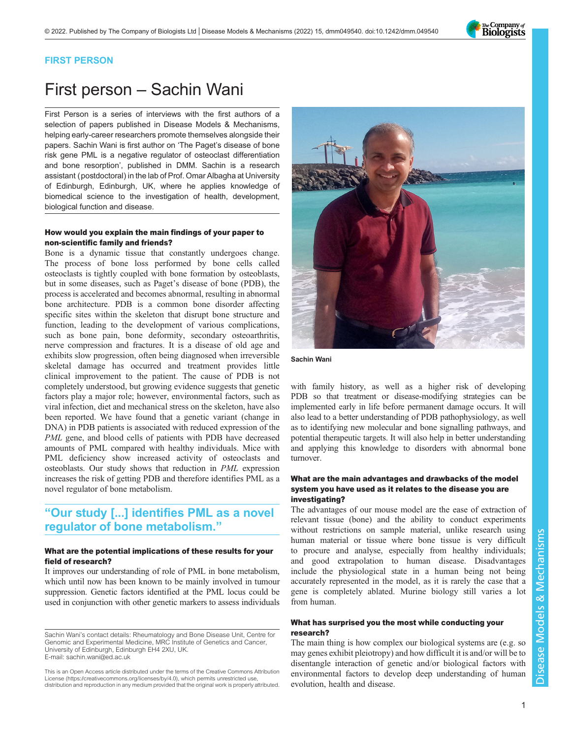

#### FIRST PERSON

# First person – Sachin Wani

First Person is a series of interviews with the first authors of a selection of papers published in Disease Models & Mechanisms, helping early-career researchers promote themselves alongside their papers. Sachin Wani is first author on 'The Paget'[s disease of bone](#page-1-0) [risk gene PML is a negative regulator of osteoclast differentiation](#page-1-0) [and bone resorption](#page-1-0)', published in DMM. Sachin is a research assistant (postdoctoral) in the lab of Prof. Omar Albagha at University of Edinburgh, Edinburgh, UK, where he applies knowledge of biomedical science to the investigation of health, development, biological function and disease.

### How would you explain the main findings of your paper to non-scientific family and friends?

Bone is a dynamic tissue that constantly undergoes change. The process of bone loss performed by bone cells called osteoclasts is tightly coupled with bone formation by osteoblasts, but in some diseases, such as Paget's disease of bone (PDB), the process is accelerated and becomes abnormal, resulting in abnormal bone architecture. PDB is a common bone disorder affecting specific sites within the skeleton that disrupt bone structure and function, leading to the development of various complications, such as bone pain, bone deformity, secondary osteoarthritis, nerve compression and fractures. It is a disease of old age and exhibits slow progression, often being diagnosed when irreversible skeletal damage has occurred and treatment provides little clinical improvement to the patient. The cause of PDB is not completely understood, but growing evidence suggests that genetic factors play a major role; however, environmental factors, such as viral infection, diet and mechanical stress on the skeleton, have also been reported. We have found that a genetic variant (change in DNA) in PDB patients is associated with reduced expression of the PML gene, and blood cells of patients with PDB have decreased amounts of PML compared with healthy individuals. Mice with PML deficiency show increased activity of osteoclasts and osteoblasts. Our study shows that reduction in PML expression increases the risk of getting PDB and therefore identifies PML as a novel regulator of bone metabolism.

## "Our study [...] identifies PML as a novel regulator of bone metabolism."

#### What are the potential implications of these results for your field of research?

It improves our understanding of role of PML in bone metabolism, which until now has been known to be mainly involved in tumour suppression. Genetic factors identified at the PML locus could be used in conjunction with other genetic markers to assess individuals



Sachin Wani

with family history, as well as a higher risk of developing PDB so that treatment or disease-modifying strategies can be implemented early in life before permanent damage occurs. It will also lead to a better understanding of PDB pathophysiology, as well as to identifying new molecular and bone signalling pathways, and potential therapeutic targets. It will also help in better understanding and applying this knowledge to disorders with abnormal bone turnover.

#### What are the main advantages and drawbacks of the model system you have used as it relates to the disease you are investigating?

The advantages of our mouse model are the ease of extraction of relevant tissue (bone) and the ability to conduct experiments without restrictions on sample material, unlike research using human material or tissue where bone tissue is very difficult to procure and analyse, especially from healthy individuals; and good extrapolation to human disease. Disadvantages include the physiological state in a human being not being accurately represented in the model, as it is rarely the case that a gene is completely ablated. Murine biology still varies a lot from human.

#### What has surprised you the most while conducting your research?

The main thing is how complex our biological systems are (e.g. so may genes exhibit pleiotropy) and how difficult it is and/or will be to disentangle interaction of genetic and/or biological factors with environmental factors to develop deep understanding of human evolution, health and disease.

Sachin Wani's contact details: Rheumatology and Bone Disease Unit, Centre for Genomic and Experimental Medicine, MRC Institute of Genetics and Cancer, University of Edinburgh, Edinburgh EH4 2XU, UK. E-mail: [sachin.wani@ed.ac.uk](mailto:sachin.wani@ed.ac.uk)

This is an Open Access article distributed under the terms of the Creative Commons Attribution License (https://creativecommons.org/licenses/by/4.0), which permits unrestricted use, distribution and reproduction in any medium provided that the original work is properly attributed.